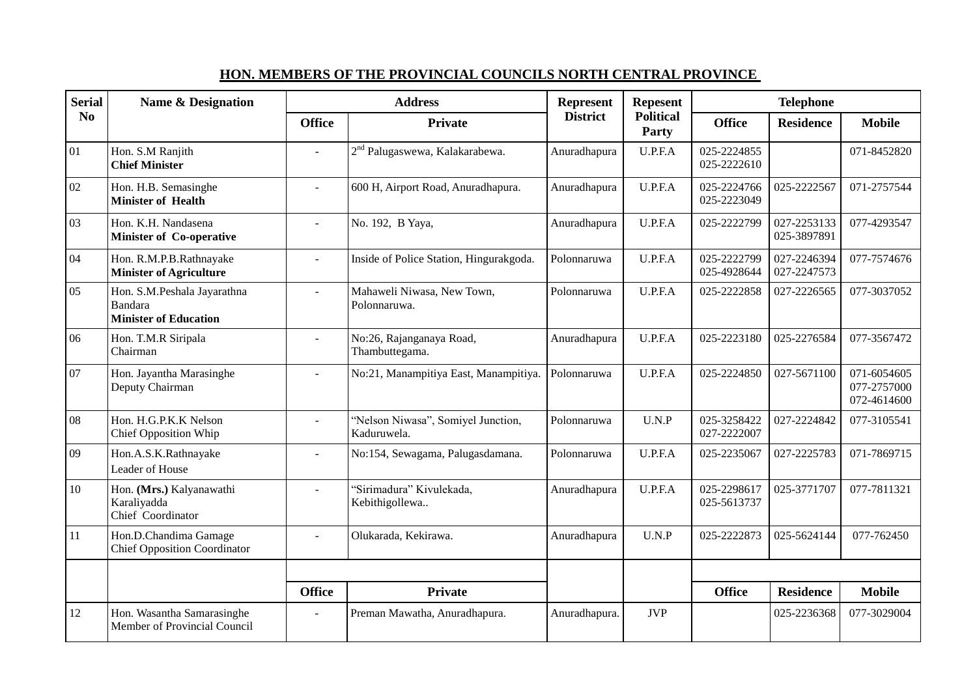| <b>Serial</b><br>No | <b>Name &amp; Designation</b>                                                 | <b>Address</b> |                                                   | Represent       | <b>Repesent</b>           | <b>Telephone</b>           |                            |                                           |
|---------------------|-------------------------------------------------------------------------------|----------------|---------------------------------------------------|-----------------|---------------------------|----------------------------|----------------------------|-------------------------------------------|
|                     |                                                                               | <b>Office</b>  | <b>Private</b>                                    | <b>District</b> | <b>Political</b><br>Party | <b>Office</b>              | <b>Residence</b>           | <b>Mobile</b>                             |
| 01                  | Hon. S.M Ranjith<br><b>Chief Minister</b>                                     | $\sim$         | 2 <sup>nd</sup> Palugaswewa, Kalakarabewa.        | Anuradhapura    | U.P.F.A                   | 025-2224855<br>025-2222610 |                            | 071-8452820                               |
| 02                  | Hon. H.B. Semasinghe<br><b>Minister of Health</b>                             | $\sim$         | 600 H, Airport Road, Anuradhapura.                | Anuradhapura    | U.P.F.A                   | 025-2224766<br>025-2223049 | 025-2222567                | 071-2757544                               |
| 03                  | Hon. K.H. Nandasena<br>Minister of Co-operative                               |                | No. 192, B Yaya,                                  | Anuradhapura    | U.P.F.A                   | 025-2222799                | 027-2253133<br>025-3897891 | 077-4293547                               |
| 04                  | Hon. R.M.P.B.Rathnayake<br><b>Minister of Agriculture</b>                     |                | Inside of Police Station, Hingurakgoda.           | Polonnaruwa     | U.P.F.A                   | 025-2222799<br>025-4928644 | 027-2246394<br>027-2247573 | 077-7574676                               |
| 05                  | Hon. S.M.Peshala Jayarathna<br><b>Bandara</b><br><b>Minister of Education</b> | $\sim$         | Mahaweli Niwasa, New Town,<br>Polonnaruwa.        | Polonnaruwa     | U.P.F.A                   | 025-2222858                | 027-2226565                | 077-3037052                               |
| 06                  | Hon. T.M.R Siripala<br>Chairman                                               |                | No:26, Rajanganaya Road,<br>Thambuttegama.        | Anuradhapura    | U.P.F.A                   | 025-2223180                | 025-2276584                | 077-3567472                               |
| 07                  | Hon. Jayantha Marasinghe<br>Deputy Chairman                                   | $\overline{a}$ | No:21, Manampitiya East, Manampitiya.             | Polonnaruwa     | U.P.F.A                   | 025-2224850                | 027-5671100                | 071-6054605<br>077-2757000<br>072-4614600 |
| 08                  | Hon. H.G.P.K.K Nelson<br><b>Chief Opposition Whip</b>                         | $\mathbf{r}$   | "Nelson Niwasa", Somiyel Junction,<br>Kaduruwela. | Polonnaruwa     | U.N.P                     | 025-3258422<br>027-2222007 | 027-2224842                | 077-3105541                               |
| 09                  | Hon.A.S.K.Rathnayake<br>Leader of House                                       | $\sim$         | No:154, Sewagama, Palugasdamana.                  | Polonnaruwa     | U.P.F.A                   | 025-2235067                | 027-2225783                | 071-7869715                               |
| 10                  | Hon. (Mrs.) Kalyanawathi<br>Karaliyadda<br>Chief Coordinator                  |                | "Sirimadura" Kivulekada,<br>Kebithigollewa        | Anuradhapura    | U.P.F.A                   | 025-2298617<br>025-5613737 | 025-3771707                | 077-7811321                               |
| 11                  | Hon.D.Chandima Gamage<br><b>Chief Opposition Coordinator</b>                  | $\sim$         | Olukarada, Kekirawa.                              | Anuradhapura    | U.N.P                     | 025-2222873                | 025-5624144                | 077-762450                                |
|                     |                                                                               |                |                                                   |                 |                           |                            |                            |                                           |
|                     |                                                                               | <b>Office</b>  | <b>Private</b>                                    |                 |                           | <b>Office</b>              | <b>Residence</b>           | <b>Mobile</b>                             |
| 12                  | Hon. Wasantha Samarasinghe<br>Member of Provincial Council                    |                | Preman Mawatha, Anuradhapura.                     | Anuradhapura.   | <b>JVP</b>                |                            | 025-2236368                | 077-3029004                               |

## **HON. MEMBERS OF THE PROVINCIAL COUNCILS NORTH CENTRAL PROVINCE**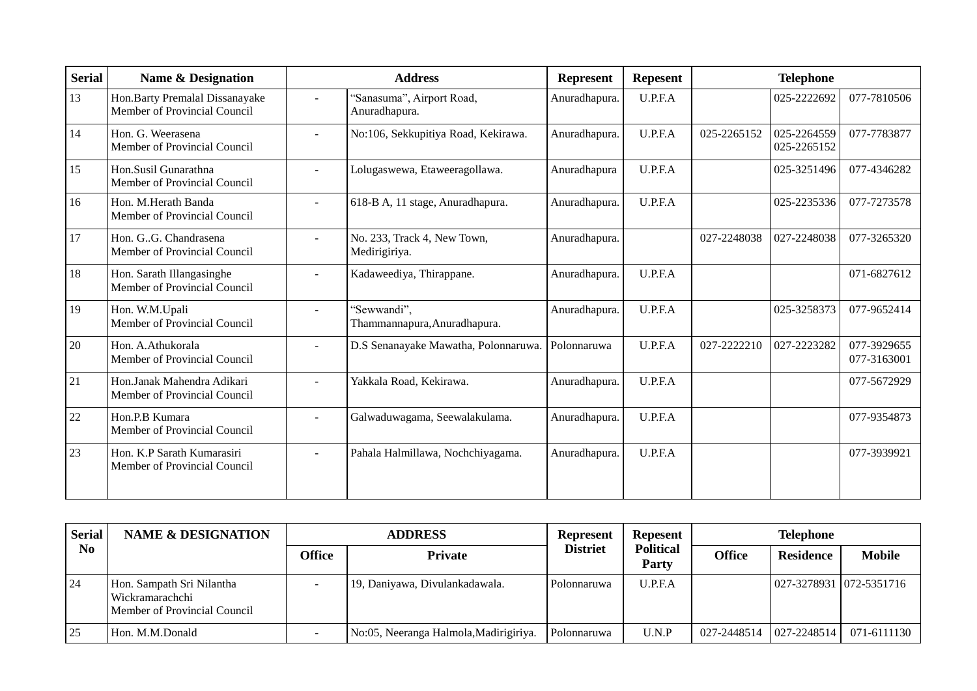| <b>Serial</b> | Name & Designation                                              |        | <b>Address</b>                               | <b>Represent</b> | <b>Repesent</b> | <b>Telephone</b> |                            |                            |
|---------------|-----------------------------------------------------------------|--------|----------------------------------------------|------------------|-----------------|------------------|----------------------------|----------------------------|
| 13            | Hon. Barty Premalal Dissanayake<br>Member of Provincial Council | $\sim$ | 'Sanasuma", Airport Road,<br>Anuradhapura.   | Anuradhapura.    | U.P.F.A         |                  | 025-2222692                | 077-7810506                |
| 14            | Hon. G. Weerasena<br>Member of Provincial Council               | $\sim$ | No:106, Sekkupitiya Road, Kekirawa.          | Anuradhapura.    | U.P.F.A         | 025-2265152      | 025-2264559<br>025-2265152 | 077-7783877                |
| 15            | Hon.Susil Gunarathna<br>Member of Provincial Council            |        | Lolugaswewa, Etaweeragollawa.                | Anuradhapura     | U.P.F.A         |                  | 025-3251496                | 077-4346282                |
| 16            | Hon. M.Herath Banda<br>Member of Provincial Council             | $\sim$ | 618-B A, 11 stage, Anuradhapura.             | Anuradhapura.    | U.P.F.A         |                  | 025-2235336                | 077-7273578                |
| 17            | Hon. G. G. Chandrasena<br>Member of Provincial Council          |        | No. 233, Track 4, New Town,<br>Medirigiriya. | Anuradhapura.    |                 | 027-2248038      | 027-2248038                | 077-3265320                |
| 18            | Hon. Sarath Illangasinghe<br>Member of Provincial Council       |        | Kadaweediya, Thirappane.                     | Anuradhapura.    | U.P.F.A         |                  |                            | 071-6827612                |
| 19            | Hon. W.M.Upali<br>Member of Provincial Council                  |        | 'Sewwandi",<br>Thammannapura, Anuradhapura.  | Anuradhapura.    | U.P.F.A         |                  | 025-3258373                | 077-9652414                |
| 20            | Hon. A.Athukorala<br>Member of Provincial Council               | $\sim$ | D.S Senanayake Mawatha, Polonnaruwa.         | Polonnaruwa      | U.P.F.A         | 027-2222210      | 027-2223282                | 077-3929655<br>077-3163001 |
| 21            | Hon.Janak Mahendra Adikari<br>Member of Provincial Council      |        | Yakkala Road, Kekirawa.                      | Anuradhapura.    | U.P.F.A         |                  |                            | 077-5672929                |
| 22            | Hon.P.B Kumara<br>Member of Provincial Council                  | $\sim$ | Galwaduwagama, Seewalakulama.                | Anuradhapura.    | U.P.F.A         |                  |                            | 077-9354873                |
| 23            | Hon. K.P Sarath Kumarasiri<br>Member of Provincial Council      |        | Pahala Halmillawa, Nochchiyagama.            | Anuradhapura.    | U.P.F.A         |                  |                            | 077-3939921                |

| <b>Serial</b><br>N <sub>0</sub> | <b>NAME &amp; DESIGNATION</b>                                                |        | <b>ADDRESS</b>                         | <b>Represent</b> | <b>Repesent</b>           | <b>Telephone</b> |                         |               |
|---------------------------------|------------------------------------------------------------------------------|--------|----------------------------------------|------------------|---------------------------|------------------|-------------------------|---------------|
|                                 |                                                                              | Office | Private                                | <b>Distriet</b>  | <b>Political</b><br>Party | <b>Office</b>    | <b>Residence</b>        | <b>Mobile</b> |
| 24                              | Hon. Sampath Sri Nilantha<br>Wickramarachchi<br>Member of Provincial Council |        | 19, Daniyawa, Divulankadawala.         | Polonnaruwa      | U.P.F.A                   |                  | 027-3278931 072-5351716 |               |
| 25                              | Hon. M.M.Donald                                                              |        | No:05, Neeranga Halmola, Madirigiriya. | Polonnaruwa      | U.N.P                     | 027-2448514      | $027 - 2248514$         | 071-6111130   |